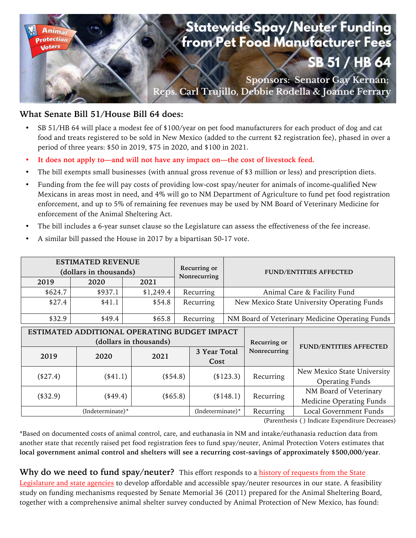

## **What Senate Bill 51/House Bill 64 does:**

- SB 51/HB 64 will place a modest fee of \$100/year on pet food manufacturers for each product of dog and cat food and treats registered to be sold in New Mexico (added to the current \$2 registration fee), phased in over a period of three years: \$50 in 2019, \$75 in 2020, and \$100 in 2021.
- **It does not apply to—and will not have any impact on—the cost of livestock feed.**
- The bill exempts small businesses (with annual gross revenue of \$3 million or less) and prescription diets.
- Funding from the fee will pay costs of providing low-cost spay/neuter for animals of income-qualified New Mexicans in areas most in need, and 4% will go to NM Department of Agriculture to fund pet food registration enforcement, and up to 5% of remaining fee revenues may be used by NM Board of Veterinary Medicine for enforcement of the Animal Sheltering Act.
- The bill includes a 6-year sunset clause so the Legislature can assess the effectiveness of the fee increase.
- A similar bill passed the House in 2017 by a bipartisan 50-17 vote.

| <b>ESTIMATED REVENUE</b><br>(dollars in thousands)                                             |           |           |           | Recurring or<br>Nonrecurring |                                                 | <b>FUND/ENTITIES AFFECTED</b> |                                                           |  |
|------------------------------------------------------------------------------------------------|-----------|-----------|-----------|------------------------------|-------------------------------------------------|-------------------------------|-----------------------------------------------------------|--|
| 2019                                                                                           | 2020      | 2021      |           |                              |                                                 |                               |                                                           |  |
| \$624.7                                                                                        | \$937.1   | \$1,249.4 | Recurring |                              | Animal Care & Facility Fund                     |                               |                                                           |  |
| \$27.4                                                                                         | \$41.1    | \$54.8    | Recurring |                              | New Mexico State University Operating Funds     |                               |                                                           |  |
| \$32.9                                                                                         | \$49.4\$  | \$65.8    | Recurring |                              | NM Board of Veterinary Medicine Operating Funds |                               |                                                           |  |
| ESTIMATED ADDITIONAL OPERATING BUDGET IMPACT<br>(dollars in thousands)<br>2020<br>2021<br>2019 |           |           |           | 3 Year Total                 |                                                 | Recurring or<br>Nonrecurring  | <b>FUND/ENTITIES AFFECTED</b>                             |  |
| $(*27.4)$                                                                                      | $(*41.1)$ | $(*54.8)$ |           | Cost                         | $(*123.3)$                                      | Recurring                     | New Mexico State University<br><b>Operating Funds</b>     |  |
| $(*32.9)$                                                                                      | $(*49.4)$ |           | (\$65.8)  |                              | $(*148.1)$                                      | Recurring                     | NM Board of Veterinary<br><b>Medicine Operating Funds</b> |  |
| (Indeterminate)*                                                                               |           |           |           | $(Indeterminate)*$           |                                                 | Recurring                     | Local Government Funds                                    |  |

(Parenthesis ( ) Indicate Expenditure Decreases)

\*Based on documented costs of animal control, care, and euthanasia in NM and intake/euthanasia reduction data from another state that recently raised pet food registration fees to fund spay/neuter, Animal Protection Voters estimates that **local government animal control and shelters will see a recurring cost-savings of approximately \$500,000/year**.

**Why do we need to fund spay/neuter?** This effort responds to a history of requests from the State Legislature and state agencies to develop affordable and accessible spay/neuter resources in our state. A feasibility study on funding mechanisms requested by Senate Memorial 36 (2011) prepared for the Animal Sheltering Board, together with a comprehensive animal shelter survey conducted by Animal Protection of New Mexico, has found: